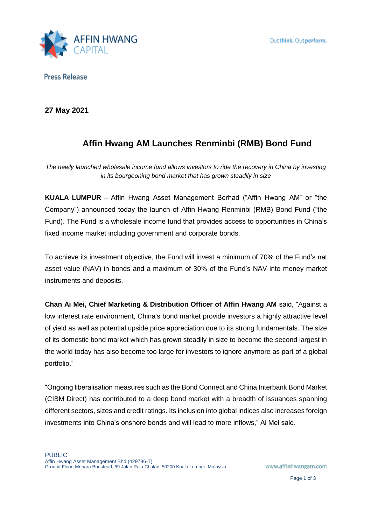

**Press Release** 

**27 May 2021**

# **Affin Hwang AM Launches Renminbi (RMB) Bond Fund**

*The newly launched wholesale income fund allows investors to ride the recovery in China by investing in its bourgeoning bond market that has grown steadily in size* 

**KUALA LUMPUR** – Affin Hwang Asset Management Berhad ("Affin Hwang AM" or "the Company") announced today the launch of Affin Hwang Renminbi (RMB) Bond Fund ("the Fund). The Fund is a wholesale income fund that provides access to opportunities in China's fixed income market including government and corporate bonds.

To achieve its investment objective, the Fund will invest a minimum of 70% of the Fund's net asset value (NAV) in bonds and a maximum of 30% of the Fund's NAV into money market instruments and deposits.

**Chan Ai Mei, Chief Marketing & Distribution Officer of Affin Hwang AM** said, "Against a low interest rate environment, China's bond market provide investors a highly attractive level of yield as well as potential upside price appreciation due to its strong fundamentals. The size of its domestic bond market which has grown steadily in size to become the second largest in the world today has also become too large for investors to ignore anymore as part of a global portfolio."

"Ongoing liberalisation measures such as the Bond Connect and China Interbank Bond Market (CIBM Direct) has contributed to a deep bond market with a breadth of issuances spanning different sectors, sizes and credit ratings. Its inclusion into global indices also increases foreign investments into China's onshore bonds and will lead to more inflows," Ai Mei said.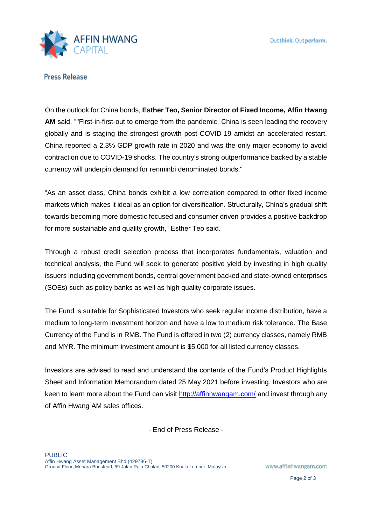

**Press Release** 

On the outlook for China bonds, **Esther Teo, Senior Director of Fixed Income, Affin Hwang AM** said, ""First-in-first-out to emerge from the pandemic, China is seen leading the recovery globally and is staging the strongest growth post-COVID-19 amidst an accelerated restart. China reported a 2.3% GDP growth rate in 2020 and was the only major economy to avoid contraction due to COVID-19 shocks. The country's strong outperformance backed by a stable currency will underpin demand for renminbi denominated bonds."

"As an asset class, China bonds exhibit a low correlation compared to other fixed income markets which makes it ideal as an option for diversification. Structurally, China's gradual shift towards becoming more domestic focused and consumer driven provides a positive backdrop for more sustainable and quality growth," Esther Teo said.

Through a robust credit selection process that incorporates fundamentals, valuation and technical analysis, the Fund will seek to generate positive yield by investing in high quality issuers including government bonds, central government backed and state-owned enterprises (SOEs) such as policy banks as well as high quality corporate issues.

The Fund is suitable for Sophisticated Investors who seek regular income distribution, have a medium to long-term investment horizon and have a low to medium risk tolerance. The Base Currency of the Fund is in RMB. The Fund is offered in two (2) currency classes, namely RMB and MYR. The minimum investment amount is \$5,000 for all listed currency classes.

Investors are advised to read and understand the contents of the Fund's Product Highlights Sheet and Information Memorandum dated 25 May 2021 before investing. Investors who are keen to learn more about the Fund can visit<http://affinhwangam.com/> and invest through any of Affin Hwang AM sales offices.

- End of Press Release -